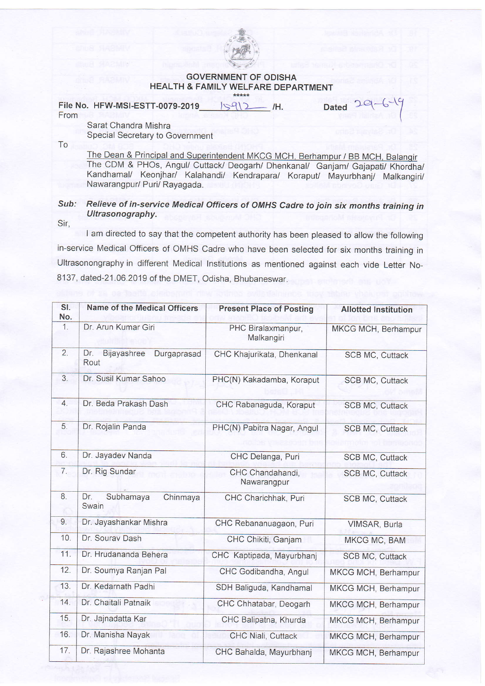

## GOVERNMENT OF ODISHA HEALTH & FAMILY WELFARE DEPARTMENT

File No. HFW-MSI-ESTT-0079-2019\_ $|\Im Q|$ 2\_\_\_ /H. Dated From Sarat Chandra Mishra  $20$ 

Special Secretary to Government

To

The CDM & PHOs, Angul/ Cuttack/ Deogarh/ Dhenkanal/ Ganjam/ Gajapati/ Khordha Kandhamal/ Keonjhar/ Kalahandi/ Kendrapara/ Koraput/ Mayurbhanj/ Malkangiri Nawarangpur/ Puri/ Rayagada.

## Sub: Relieve of in-service Medical Officers of OMHS Cadre to join six months training in Ultrasonography.

Sir,

I am directed to say that the competent authority has been pleased to allow the following in-service Medical Officers of OMHS Cadre who have been selected for six months training in Ultrasonongraphy in different Medical lnstitutions as mentioned against each vide Letter No-8137, dated-21.06.2019 of the DMET, Odisha, Bhubaneswar.

| SI.<br>No. | Name of the Medical Officers              | <b>Present Place of Posting</b>  | <b>Allotted Institution</b> |
|------------|-------------------------------------------|----------------------------------|-----------------------------|
| 1.         | Dr. Arun Kumar Giri                       | PHC Biralaxmanpur,<br>Malkangiri | MKCG MCH, Berhampur         |
| 2.         | Dr.<br>Bijayashree<br>Durgaprasad<br>Rout | CHC Khajurikata, Dhenkanal       | <b>SCB MC, Cuttack</b>      |
| 3.         | Dr. Susil Kumar Sahoo                     | PHC(N) Kakadamba, Koraput        | SCB MC, Cuttack             |
| 4.         | Dr. Beda Prakash Dash                     | CHC Rabanaguda, Koraput          | <b>SCB MC, Cuttack</b>      |
| 5.         | Dr. Rojalin Panda                         | PHC(N) Pabitra Nagar, Angul      | SCB MC, Cuttack             |
| 6.         | Dr. Jayadev Nanda                         | CHC Delanga, Puri                | SCB MC, Cuttack             |
| 7.         | Dr. Rig Sundar                            | CHC Chandahandi.<br>Nawarangpur  | SCB MC, Cuttack             |
| 8.         | Dr.<br>Subhamaya<br>Chinmaya<br>Swain     | CHC Charichhak, Puri             | SCB MC, Cuttack             |
| 9.         | Dr. Jayashankar Mishra                    | CHC Rebananuagaon, Puri          | VIMSAR, Burla               |
| 10.        | Dr. Sourav Dash                           | CHC Chikiti, Ganjam              | MKCG MC, BAM                |
| 11.        | Dr. Hrudananda Behera                     | CHC Kaptipada, Mayurbhanj        | <b>SCB MC, Cuttack</b>      |
| 12.        | Dr. Soumya Ranjan Pal                     | CHC Godibandha, Angul            | MKCG MCH, Berhampur         |
| 13.        | Dr. Kedarnath Padhi                       | SDH Baliguda, Kandhamal          | MKCG MCH, Berhampur         |
| 14.        | Dr. Chaitali Patnaik                      | CHC Chhatabar, Deogarh           | MKCG MCH, Berhampur         |
| 15.        | Dr. Jajnadatta Kar                        | CHC Balipatna, Khurda            | MKCG MCH, Berhampur         |
| 16.        | Dr. Manisha Nayak                         | <b>CHC Niali, Cuttack</b>        | MKCG MCH, Berhampur         |
| 17.        | Dr. Rajashree Mohanta                     | CHC Bahalda, Mayurbhanj          | MKCG MCH, Berhampur         |